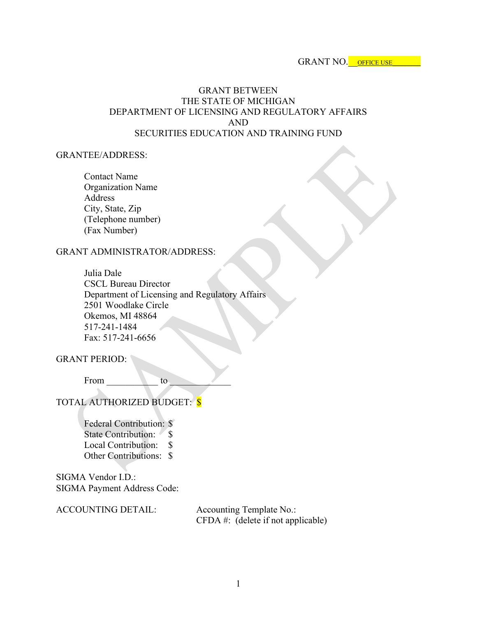GRANT NO. OFFICE USE

### GRANT BETWEEN THE STATE OF MICHIGAN DEPARTMENT OF LICENSING AND REGULATORY AFFAIRS AND SECURITIES EDUCATION AND TRAINING FUND

#### GRANTEE/ADDRESS:

Contact Name Organization Name Address City, State, Zip (Telephone number) (Fax Number)

#### GRANT ADMINISTRATOR/ADDRESS:

Julia Dale CSCL Bureau Director Department of Licensing and Regulatory Affairs 2501 Woodlake Circle Okemos, MI 48864 517-241-1484 Fax: 517-241-6656

GRANT PERIOD:

From to to

TOTAL AUTHORIZED BUDGET: \$

Federal Contribution: \$ State Contribution: \$ Local Contribution: \$ Other Contributions: \$

SIGMA Vendor I.D.: SIGMA Payment Address Code:

ACCOUNTING DETAIL: Accounting Template No.: CFDA #: (delete if not applicable)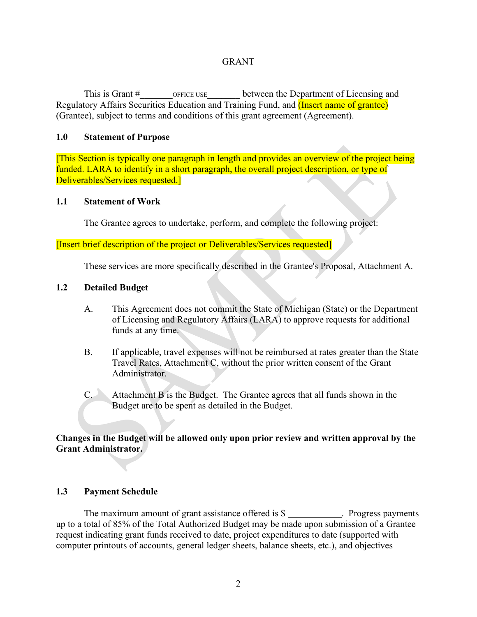### **GRANT**

This is Grant # This is Grant # OFFICE USE between the Department of Licensing and Regulatory Affairs Securities Education and Training Fund, and (Insert name of grantee) (Grantee), subject to terms and conditions of this grant agreement (Agreement).

#### **1.0 Statement of Purpose**

[This Section is typically one paragraph in length and provides an overview of the project being funded. LARA to identify in a short paragraph, the overall project description, or type of Deliverables/Services requested.]

#### **1.1 Statement of Work**

The Grantee agrees to undertake, perform, and complete the following project:

[Insert brief description of the project or Deliverables/Services requested]

These services are more specifically described in the Grantee's Proposal, Attachment A.

#### **1.2 Detailed Budget**

- A. This Agreement does not commit the State of Michigan (State) or the Department of Licensing and Regulatory Affairs (LARA) to approve requests for additional funds at any time.
- B. If applicable, travel expenses will not be reimbursed at rates greater than the State Travel Rates, Attachment C, without the prior written consent of the Grant Administrator.
- C. Attachment B is the Budget. The Grantee agrees that all funds shown in the Budget are to be spent as detailed in the Budget.

### **Changes in the Budget will be allowed only upon prior review and written approval by the Grant Administrator.**

#### **1.3 Payment Schedule**

The maximum amount of grant assistance offered is  $\$\_$ . Progress payments up to a total of 85% of the Total Authorized Budget may be made upon submission of a Grantee request indicating grant funds received to date, project expenditures to date (supported with computer printouts of accounts, general ledger sheets, balance sheets, etc.), and objectives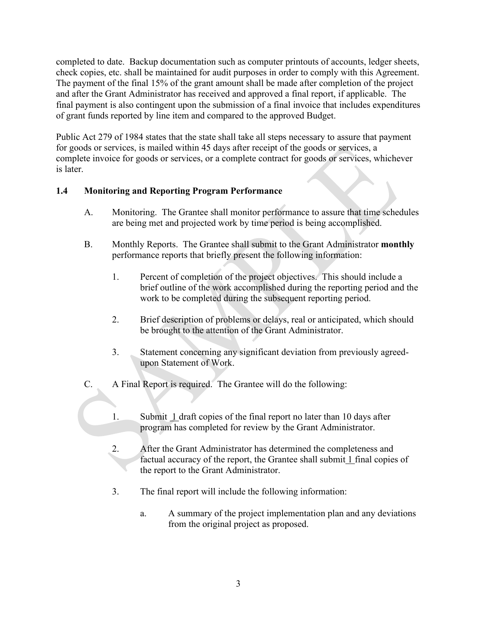completed to date. Backup documentation such as computer printouts of accounts, ledger sheets, check copies, etc. shall be maintained for audit purposes in order to comply with this Agreement. The payment of the final 15% of the grant amount shall be made after completion of the project and after the Grant Administrator has received and approved a final report, if applicable. The final payment is also contingent upon the submission of a final invoice that includes expenditures of grant funds reported by line item and compared to the approved Budget.

Public Act 279 of 1984 states that the state shall take all steps necessary to assure that payment for goods or services, is mailed within 45 days after receipt of the goods or services, a complete invoice for goods or services, or a complete contract for goods or services, whichever is later.

## **1.4 Monitoring and Reporting Program Performance**

- A. Monitoring. The Grantee shall monitor performance to assure that time schedules are being met and projected work by time period is being accomplished.
- B. Monthly Reports. The Grantee shall submit to the Grant Administrator **monthly** performance reports that briefly present the following information:
	- 1. Percent of completion of the project objectives. This should include a brief outline of the work accomplished during the reporting period and the work to be completed during the subsequent reporting period.
	- 2. Brief description of problems or delays, real or anticipated, which should be brought to the attention of the Grant Administrator.
	- 3. Statement concerning any significant deviation from previously agreedupon Statement of Work.
- C. A Final Report is required. The Grantee will do the following:
	- 1. Submit 1 draft copies of the final report no later than 10 days after program has completed for review by the Grant Administrator.
	- 2. After the Grant Administrator has determined the completeness and factual accuracy of the report, the Grantee shall submit 1 final copies of the report to the Grant Administrator.
	- 3. The final report will include the following information:
		- a. A summary of the project implementation plan and any deviations from the original project as proposed.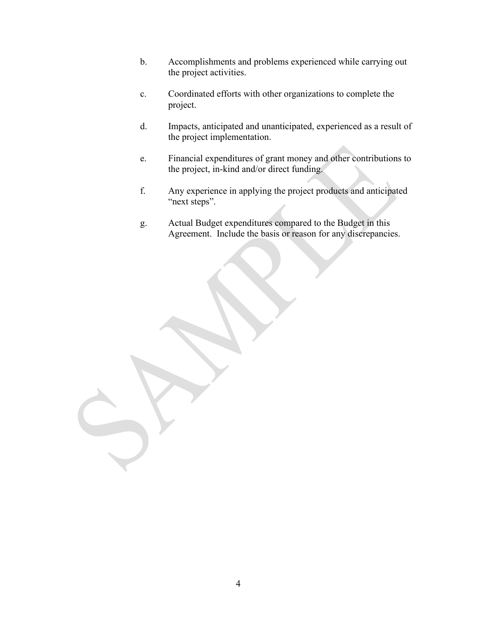- b. Accomplishments and problems experienced while carrying out the project activities.
- c. Coordinated efforts with other organizations to complete the project.
- d. Impacts, anticipated and unanticipated, experienced as a result of the project implementation.
- e. Financial expenditures of grant money and other contributions to the project, in-kind and/or direct funding.
- f. Any experience in applying the project products and anticipated "next steps".
- g. Actual Budget expenditures compared to the Budget in this Agreement. Include the basis or reason for any discrepancies.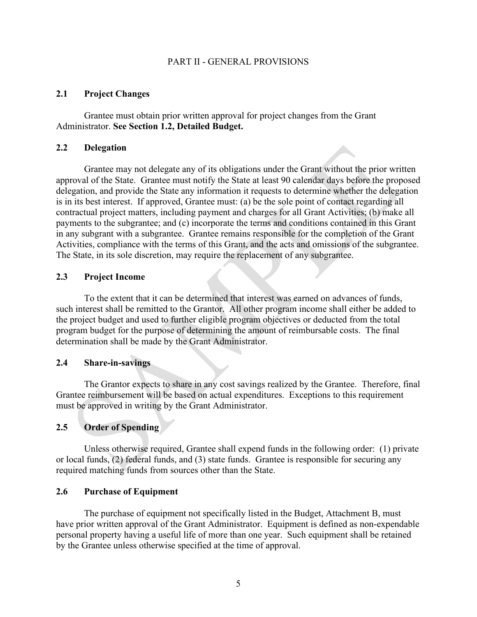#### PART II - GENERAL PROVISIONS

#### **2.1 Project Changes**

Grantee must obtain prior written approval for project changes from the Grant Administrator. **See Section 1.2, Detailed Budget.**

#### **2.2 Delegation**

Grantee may not delegate any of its obligations under the Grant without the prior written approval of the State. Grantee must notify the State at least 90 calendar days before the proposed delegation, and provide the State any information it requests to determine whether the delegation is in its best interest. If approved, Grantee must: (a) be the sole point of contact regarding all contractual project matters, including payment and charges for all Grant Activities; (b) make all payments to the subgrantee; and (c) incorporate the terms and conditions contained in this Grant in any subgrant with a subgrantee. Grantee remains responsible for the completion of the Grant Activities, compliance with the terms of this Grant, and the acts and omissions of the subgrantee. The State, in its sole discretion, may require the replacement of any subgrantee.

#### **2.3 Project Income**

To the extent that it can be determined that interest was earned on advances of funds, such interest shall be remitted to the Grantor. All other program income shall either be added to the project budget and used to further eligible program objectives or deducted from the total program budget for the purpose of determining the amount of reimbursable costs. The final determination shall be made by the Grant Administrator.

#### **2.4 Share-in-savings**

The Grantor expects to share in any cost savings realized by the Grantee. Therefore, final Grantee reimbursement will be based on actual expenditures. Exceptions to this requirement must be approved in writing by the Grant Administrator.

#### **2.5 Order of Spending**

Unless otherwise required, Grantee shall expend funds in the following order: (1) private or local funds, (2) federal funds, and (3) state funds. Grantee is responsible for securing any required matching funds from sources other than the State.

#### **2.6 Purchase of Equipment**

The purchase of equipment not specifically listed in the Budget, Attachment B, must have prior written approval of the Grant Administrator. Equipment is defined as non-expendable personal property having a useful life of more than one year. Such equipment shall be retained by the Grantee unless otherwise specified at the time of approval.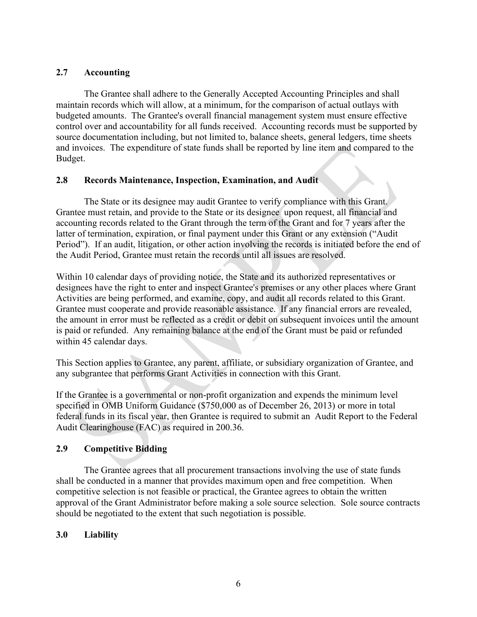## **2.7 Accounting**

The Grantee shall adhere to the Generally Accepted Accounting Principles and shall maintain records which will allow, at a minimum, for the comparison of actual outlays with budgeted amounts. The Grantee's overall financial management system must ensure effective control over and accountability for all funds received. Accounting records must be supported by source documentation including, but not limited to, balance sheets, general ledgers, time sheets and invoices. The expenditure of state funds shall be reported by line item and compared to the Budget.

## **2.8 Records Maintenance, Inspection, Examination, and Audit**

The State or its designee may audit Grantee to verify compliance with this Grant. Grantee must retain, and provide to the State or its designee upon request, all financial and accounting records related to the Grant through the term of the Grant and for 7 years after the latter of termination, expiration, or final payment under this Grant or any extension ("Audit Period"). If an audit, litigation, or other action involving the records is initiated before the end of the Audit Period, Grantee must retain the records until all issues are resolved.

Within 10 calendar days of providing notice, the State and its authorized representatives or designees have the right to enter and inspect Grantee's premises or any other places where Grant Activities are being performed, and examine, copy, and audit all records related to this Grant. Grantee must cooperate and provide reasonable assistance. If any financial errors are revealed, the amount in error must be reflected as a credit or debit on subsequent invoices until the amount is paid or refunded. Any remaining balance at the end of the Grant must be paid or refunded within 45 calendar days.

This Section applies to Grantee, any parent, affiliate, or subsidiary organization of Grantee, and any subgrantee that performs Grant Activities in connection with this Grant.

If the Grantee is a governmental or non-profit organization and expends the minimum level specified in OMB Uniform Guidance (\$750,000 as of December 26, 2013) or more in total federal funds in its fiscal year, then Grantee is required to submit an Audit Report to the Federal Audit Clearinghouse (FAC) as required in 200.36.

## **2.9 Competitive Bidding**

The Grantee agrees that all procurement transactions involving the use of state funds shall be conducted in a manner that provides maximum open and free competition. When competitive selection is not feasible or practical, the Grantee agrees to obtain the written approval of the Grant Administrator before making a sole source selection. Sole source contracts should be negotiated to the extent that such negotiation is possible.

## **3.0 Liability**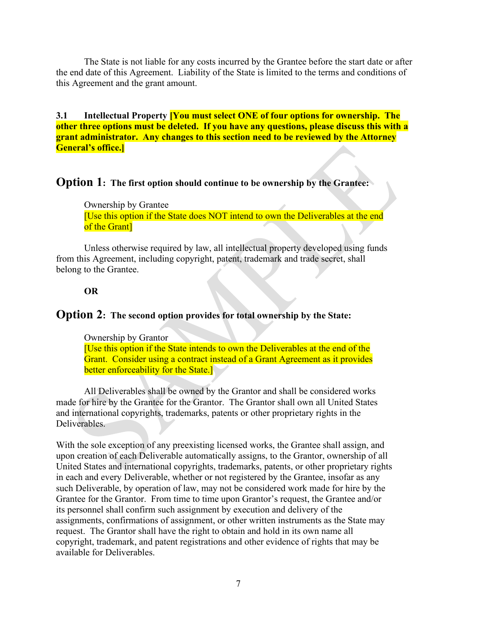The State is not liable for any costs incurred by the Grantee before the start date or after the end date of this Agreement. Liability of the State is limited to the terms and conditions of this Agreement and the grant amount.

**3.1 Intellectual Property [You must select ONE of four options for ownership. The other three options must be deleted. If you have any questions, please discuss this with a grant administrator. Any changes to this section need to be reviewed by the Attorney General's office.]**

## **Option 1: The first option should continue to be ownership by the Grantee:**

Ownership by Grantee [Use this option if the State does NOT intend to own the Deliverables at the end of the Grant]

Unless otherwise required by law, all intellectual property developed using funds from this Agreement, including copyright, patent, trademark and trade secret, shall belong to the Grantee.

### **OR**

## **Option 2: The second option provides for total ownership by the State:**

Ownership by Grantor [Use this option if the State intends to own the Deliverables at the end of the Grant. Consider using a contract instead of a Grant Agreement as it provides better enforceability for the State.]

All Deliverables shall be owned by the Grantor and shall be considered works made for hire by the Grantee for the Grantor. The Grantor shall own all United States and international copyrights, trademarks, patents or other proprietary rights in the Deliverables.

With the sole exception of any preexisting licensed works, the Grantee shall assign, and upon creation of each Deliverable automatically assigns, to the Grantor, ownership of all United States and international copyrights, trademarks, patents, or other proprietary rights in each and every Deliverable, whether or not registered by the Grantee, insofar as any such Deliverable, by operation of law, may not be considered work made for hire by the Grantee for the Grantor. From time to time upon Grantor's request, the Grantee and/or its personnel shall confirm such assignment by execution and delivery of the assignments, confirmations of assignment, or other written instruments as the State may request. The Grantor shall have the right to obtain and hold in its own name all copyright, trademark, and patent registrations and other evidence of rights that may be available for Deliverables.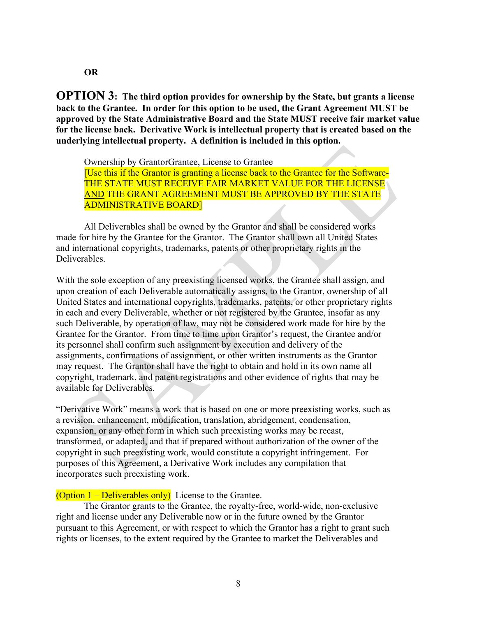**OR**

**OPTION 3: The third option provides for ownership by the State, but grants a license back to the Grantee. In order for this option to be used, the Grant Agreement MUST be approved by the State Administrative Board and the State MUST receive fair market value for the license back. Derivative Work is intellectual property that is created based on the underlying intellectual property. A definition is included in this option.**

Ownership by GrantorGrantee, License to Grantee [Use this if the Grantor is granting a license back to the Grantee for the Software-THE STATE MUST RECEIVE FAIR MARKET VALUE FOR THE LICENSE AND THE GRANT AGREEMENT MUST BE APPROVED BY THE STATE ADMINISTRATIVE BOARD]

All Deliverables shall be owned by the Grantor and shall be considered works made for hire by the Grantee for the Grantor. The Grantor shall own all United States and international copyrights, trademarks, patents or other proprietary rights in the Deliverables.

With the sole exception of any preexisting licensed works, the Grantee shall assign, and upon creation of each Deliverable automatically assigns, to the Grantor, ownership of all United States and international copyrights, trademarks, patents, or other proprietary rights in each and every Deliverable, whether or not registered by the Grantee, insofar as any such Deliverable, by operation of law, may not be considered work made for hire by the Grantee for the Grantor. From time to time upon Grantor's request, the Grantee and/or its personnel shall confirm such assignment by execution and delivery of the assignments, confirmations of assignment, or other written instruments as the Grantor may request. The Grantor shall have the right to obtain and hold in its own name all copyright, trademark, and patent registrations and other evidence of rights that may be available for Deliverables.

"Derivative Work" means a work that is based on one or more preexisting works, such as a revision, enhancement, modification, translation, abridgement, condensation, expansion, or any other form in which such preexisting works may be recast, transformed, or adapted, and that if prepared without authorization of the owner of the copyright in such preexisting work, would constitute a copyright infringement. For purposes of this Agreement, a Derivative Work includes any compilation that incorporates such preexisting work.

#### (Option  $1 -$  Deliverables only) License to the Grantee.

The Grantor grants to the Grantee, the royalty-free, world-wide, non-exclusive right and license under any Deliverable now or in the future owned by the Grantor pursuant to this Agreement, or with respect to which the Grantor has a right to grant such rights or licenses, to the extent required by the Grantee to market the Deliverables and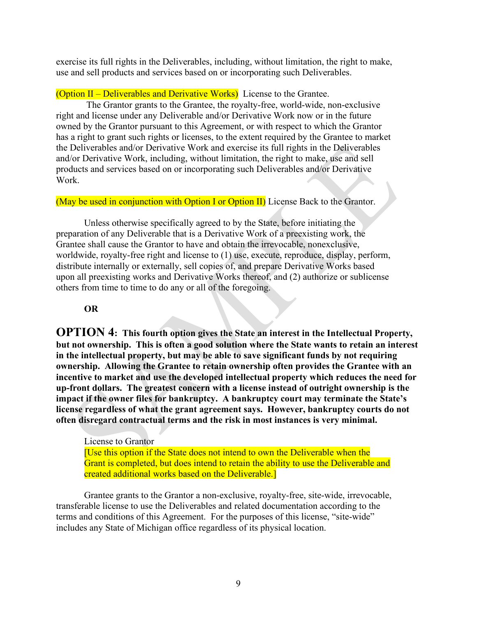exercise its full rights in the Deliverables, including, without limitation, the right to make, use and sell products and services based on or incorporating such Deliverables.

(Option II – Deliverables and Derivative Works) License to the Grantee.

The Grantor grants to the Grantee, the royalty-free, world-wide, non-exclusive right and license under any Deliverable and/or Derivative Work now or in the future owned by the Grantor pursuant to this Agreement, or with respect to which the Grantor has a right to grant such rights or licenses, to the extent required by the Grantee to market the Deliverables and/or Derivative Work and exercise its full rights in the Deliverables and/or Derivative Work, including, without limitation, the right to make, use and sell products and services based on or incorporating such Deliverables and/or Derivative Work.

(May be used in conjunction with Option I or Option II) License Back to the Grantor.

Unless otherwise specifically agreed to by the State, before initiating the preparation of any Deliverable that is a Derivative Work of a preexisting work, the Grantee shall cause the Grantor to have and obtain the irrevocable, nonexclusive, worldwide, royalty-free right and license to (1) use, execute, reproduce, display, perform, distribute internally or externally, sell copies of, and prepare Derivative Works based upon all preexisting works and Derivative Works thereof, and (2) authorize or sublicense others from time to time to do any or all of the foregoing.

## **OR**

**OPTION 4: This fourth option gives the State an interest in the Intellectual Property, but not ownership. This is often a good solution where the State wants to retain an interest in the intellectual property, but may be able to save significant funds by not requiring ownership. Allowing the Grantee to retain ownership often provides the Grantee with an incentive to market and use the developed intellectual property which reduces the need for up-front dollars. The greatest concern with a license instead of outright ownership is the impact if the owner files for bankruptcy. A bankruptcy court may terminate the State's license regardless of what the grant agreement says. However, bankruptcy courts do not often disregard contractual terms and the risk in most instances is very minimal.**

License to Grantor [Use this option if the State does not intend to own the Deliverable when the Grant is completed, but does intend to retain the ability to use the Deliverable and created additional works based on the Deliverable.]

Grantee grants to the Grantor a non-exclusive, royalty-free, site-wide, irrevocable, transferable license to use the Deliverables and related documentation according to the terms and conditions of this Agreement. For the purposes of this license, "site-wide" includes any State of Michigan office regardless of its physical location.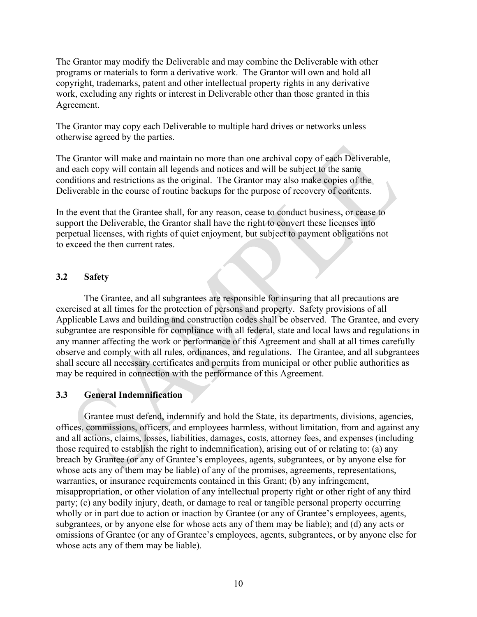The Grantor may modify the Deliverable and may combine the Deliverable with other programs or materials to form a derivative work. The Grantor will own and hold all copyright, trademarks, patent and other intellectual property rights in any derivative work, excluding any rights or interest in Deliverable other than those granted in this Agreement.

The Grantor may copy each Deliverable to multiple hard drives or networks unless otherwise agreed by the parties.

The Grantor will make and maintain no more than one archival copy of each Deliverable, and each copy will contain all legends and notices and will be subject to the same conditions and restrictions as the original. The Grantor may also make copies of the Deliverable in the course of routine backups for the purpose of recovery of contents.

In the event that the Grantee shall, for any reason, cease to conduct business, or cease to support the Deliverable, the Grantor shall have the right to convert these licenses into perpetual licenses, with rights of quiet enjoyment, but subject to payment obligations not to exceed the then current rates.

### **3.2 Safety**

The Grantee, and all subgrantees are responsible for insuring that all precautions are exercised at all times for the protection of persons and property. Safety provisions of all Applicable Laws and building and construction codes shall be observed. The Grantee, and every subgrantee are responsible for compliance with all federal, state and local laws and regulations in any manner affecting the work or performance of this Agreement and shall at all times carefully observe and comply with all rules, ordinances, and regulations. The Grantee, and all subgrantees shall secure all necessary certificates and permits from municipal or other public authorities as may be required in connection with the performance of this Agreement.

## **3.3 General Indemnification**

Grantee must defend, indemnify and hold the State, its departments, divisions, agencies, offices, commissions, officers, and employees harmless, without limitation, from and against any and all actions, claims, losses, liabilities, damages, costs, attorney fees, and expenses (including those required to establish the right to indemnification), arising out of or relating to: (a) any breach by Grantee (or any of Grantee's employees, agents, subgrantees, or by anyone else for whose acts any of them may be liable) of any of the promises, agreements, representations, warranties, or insurance requirements contained in this Grant; (b) any infringement, misappropriation, or other violation of any intellectual property right or other right of any third party; (c) any bodily injury, death, or damage to real or tangible personal property occurring wholly or in part due to action or inaction by Grantee (or any of Grantee's employees, agents, subgrantees, or by anyone else for whose acts any of them may be liable); and (d) any acts or omissions of Grantee (or any of Grantee's employees, agents, subgrantees, or by anyone else for whose acts any of them may be liable).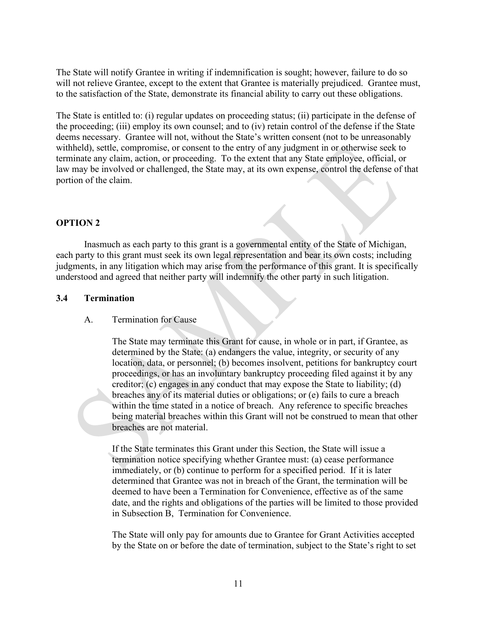The State will notify Grantee in writing if indemnification is sought; however, failure to do so will not relieve Grantee, except to the extent that Grantee is materially prejudiced. Grantee must, to the satisfaction of the State, demonstrate its financial ability to carry out these obligations.

The State is entitled to: (i) regular updates on proceeding status; (ii) participate in the defense of the proceeding; (iii) employ its own counsel; and to (iv) retain control of the defense if the State deems necessary. Grantee will not, without the State's written consent (not to be unreasonably withheld), settle, compromise, or consent to the entry of any judgment in or otherwise seek to terminate any claim, action, or proceeding. To the extent that any State employee, official, or law may be involved or challenged, the State may, at its own expense, control the defense of that portion of the claim.

#### **OPTION 2**

Inasmuch as each party to this grant is a governmental entity of the State of Michigan, each party to this grant must seek its own legal representation and bear its own costs; including judgments, in any litigation which may arise from the performance of this grant. It is specifically understood and agreed that neither party will indemnify the other party in such litigation.

#### **3.4 Termination**

#### A. Termination for Cause

The State may terminate this Grant for cause, in whole or in part, if Grantee, as determined by the State: (a) endangers the value, integrity, or security of any location, data, or personnel; (b) becomes insolvent, petitions for bankruptcy court proceedings, or has an involuntary bankruptcy proceeding filed against it by any creditor; (c) engages in any conduct that may expose the State to liability; (d) breaches any of its material duties or obligations; or (e) fails to cure a breach within the time stated in a notice of breach. Any reference to specific breaches being material breaches within this Grant will not be construed to mean that other breaches are not material.

If the State terminates this Grant under this Section, the State will issue a termination notice specifying whether Grantee must: (a) cease performance immediately, or (b) continue to perform for a specified period. If it is later determined that Grantee was not in breach of the Grant, the termination will be deemed to have been a Termination for Convenience, effective as of the same date, and the rights and obligations of the parties will be limited to those provided in Subsection B, Termination for Convenience.

The State will only pay for amounts due to Grantee for Grant Activities accepted by the State on or before the date of termination, subject to the State's right to set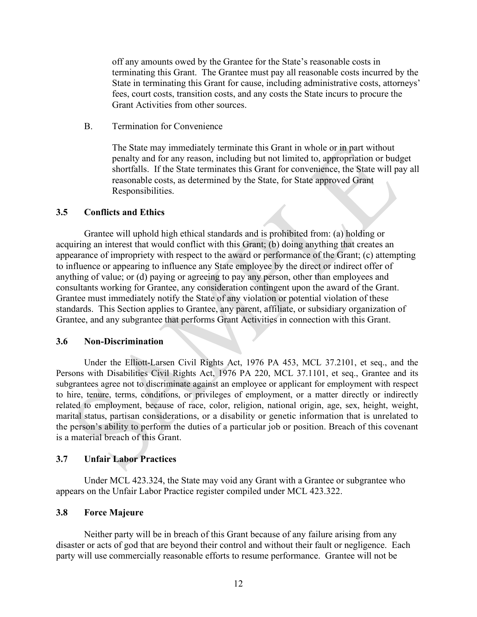off any amounts owed by the Grantee for the State's reasonable costs in terminating this Grant. The Grantee must pay all reasonable costs incurred by the State in terminating this Grant for cause, including administrative costs, attorneys' fees, court costs, transition costs, and any costs the State incurs to procure the Grant Activities from other sources.

B. Termination for Convenience

The State may immediately terminate this Grant in whole or in part without penalty and for any reason, including but not limited to, appropriation or budget shortfalls. If the State terminates this Grant for convenience, the State will pay all reasonable costs, as determined by the State, for State approved Grant Responsibilities.

#### **3.5 Conflicts and Ethics**

Grantee will uphold high ethical standards and is prohibited from: (a) holding or acquiring an interest that would conflict with this Grant; (b) doing anything that creates an appearance of impropriety with respect to the award or performance of the Grant; (c) attempting to influence or appearing to influence any State employee by the direct or indirect offer of anything of value; or (d) paying or agreeing to pay any person, other than employees and consultants working for Grantee, any consideration contingent upon the award of the Grant. Grantee must immediately notify the State of any violation or potential violation of these standards. This Section applies to Grantee, any parent, affiliate, or subsidiary organization of Grantee, and any subgrantee that performs Grant Activities in connection with this Grant.

#### **3.6 Non-Discrimination**

Under the Elliott-Larsen Civil Rights Act, 1976 PA 453, MCL 37.2101, et seq., and the Persons with Disabilities Civil Rights Act, 1976 PA 220, MCL 37.1101, et seq., Grantee and its subgrantees agree not to discriminate against an employee or applicant for employment with respect to hire, tenure, terms, conditions, or privileges of employment, or a matter directly or indirectly related to employment, because of race, color, religion, national origin, age, sex, height, weight, marital status, partisan considerations, or a disability or genetic information that is unrelated to the person's ability to perform the duties of a particular job or position. Breach of this covenant is a material breach of this Grant.

#### **3.7 Unfair Labor Practices**

Under MCL 423.324, the State may void any Grant with a Grantee or subgrantee who appears on the Unfair Labor Practice register compiled under MCL 423.322.

#### **3.8 Force Majeure**

Neither party will be in breach of this Grant because of any failure arising from any disaster or acts of god that are beyond their control and without their fault or negligence. Each party will use commercially reasonable efforts to resume performance. Grantee will not be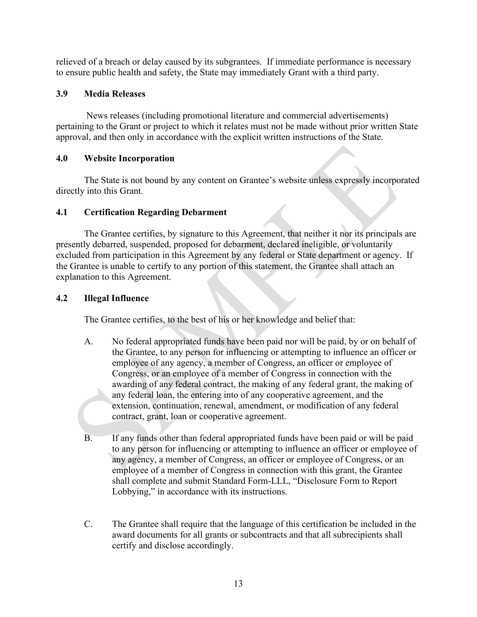relieved of a breach or delay caused by its subgrantees. If immediate performance is necessary to ensure public health and safety, the State may immediately Grant with a third party.

## **3.9 Media Releases**

News releases (including promotional literature and commercial advertisements) pertaining to the Grant or project to which it relates must not be made without prior written State approval, and then only in accordance with the explicit written instructions of the State.

## **4.0 Website Incorporation**

The State is not bound by any content on Grantee's website unless expressly incorporated directly into this Grant.

## **4.1 Certification Regarding Debarment**

The Grantee certifies, by signature to this Agreement, that neither it nor its principals are presently debarred, suspended, proposed for debarment, declared ineligible, or voluntarily excluded from participation in this Agreement by any federal or State department or agency. If the Grantee is unable to certify to any portion of this statement, the Grantee shall attach an explanation to this Agreement.

## **4.2 Illegal Influence**

The Grantee certifies, to the best of his or her knowledge and belief that:

- A. No federal appropriated funds have been paid nor will be paid, by or on behalf of the Grantee, to any person for influencing or attempting to influence an officer or employee of any agency, a member of Congress, an officer or employee of Congress, or an employee of a member of Congress in connection with the awarding of any federal contract, the making of any federal grant, the making of any federal loan, the entering into of any cooperative agreement, and the extension, continuation, renewal, amendment, or modification of any federal contract, grant, loan or cooperative agreement.
- B. If any funds other than federal appropriated funds have been paid or will be paid to any person for influencing or attempting to influence an officer or employee of any agency, a member of Congress, an officer or employee of Congress, or an employee of a member of Congress in connection with this grant, the Grantee shall complete and submit Standard Form-LLL, "Disclosure Form to Report Lobbying," in accordance with its instructions.
- C. The Grantee shall require that the language of this certification be included in the award documents for all grants or subcontracts and that all subrecipients shall certify and disclose accordingly.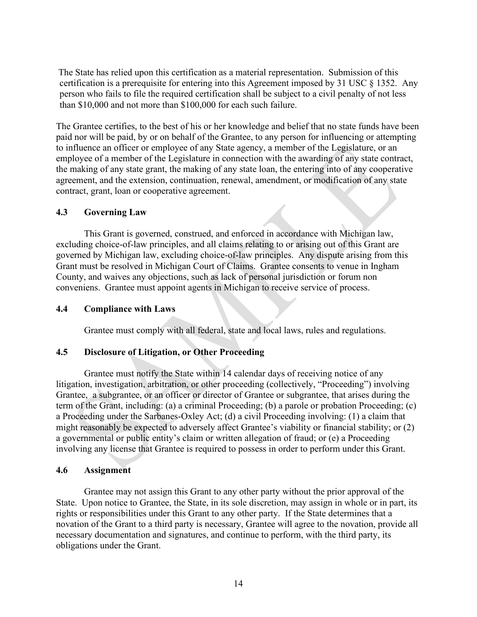The State has relied upon this certification as a material representation. Submission of this certification is a prerequisite for entering into this Agreement imposed by 31 USC § 1352. Any person who fails to file the required certification shall be subject to a civil penalty of not less than \$10,000 and not more than \$100,000 for each such failure.

The Grantee certifies, to the best of his or her knowledge and belief that no state funds have been paid nor will be paid, by or on behalf of the Grantee, to any person for influencing or attempting to influence an officer or employee of any State agency, a member of the Legislature, or an employee of a member of the Legislature in connection with the awarding of any state contract, the making of any state grant, the making of any state loan, the entering into of any cooperative agreement, and the extension, continuation, renewal, amendment, or modification of any state contract, grant, loan or cooperative agreement.

### **4.3 Governing Law**

This Grant is governed, construed, and enforced in accordance with Michigan law, excluding choice-of-law principles, and all claims relating to or arising out of this Grant are governed by Michigan law, excluding choice-of-law principles. Any dispute arising from this Grant must be resolved in Michigan Court of Claims. Grantee consents to venue in Ingham County, and waives any objections, such as lack of personal jurisdiction or forum non conveniens. Grantee must appoint agents in Michigan to receive service of process.

#### **4.4 Compliance with Laws**

Grantee must comply with all federal, state and local laws, rules and regulations.

## **4.5 Disclosure of Litigation, or Other Proceeding**

Grantee must notify the State within 14 calendar days of receiving notice of any litigation, investigation, arbitration, or other proceeding (collectively, "Proceeding") involving Grantee, a subgrantee, or an officer or director of Grantee or subgrantee, that arises during the term of the Grant, including: (a) a criminal Proceeding; (b) a parole or probation Proceeding; (c) a Proceeding under the Sarbanes-Oxley Act; (d) a civil Proceeding involving: (1) a claim that might reasonably be expected to adversely affect Grantee's viability or financial stability; or (2) a governmental or public entity's claim or written allegation of fraud; or (e) a Proceeding involving any license that Grantee is required to possess in order to perform under this Grant.

#### **4.6 Assignment**

Grantee may not assign this Grant to any other party without the prior approval of the State. Upon notice to Grantee, the State, in its sole discretion, may assign in whole or in part, its rights or responsibilities under this Grant to any other party. If the State determines that a novation of the Grant to a third party is necessary, Grantee will agree to the novation, provide all necessary documentation and signatures, and continue to perform, with the third party, its obligations under the Grant.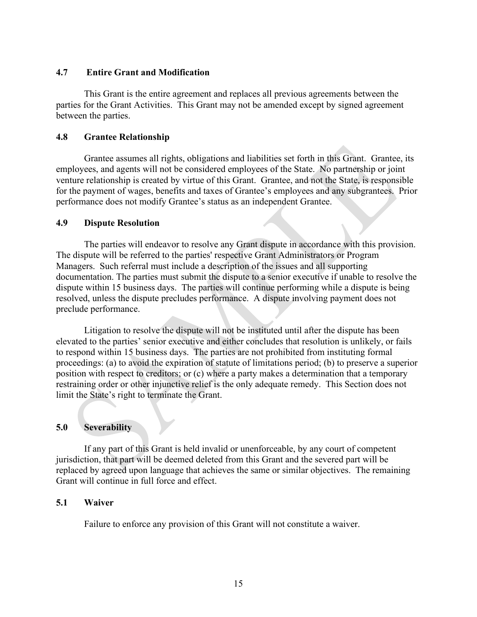#### **4.7 Entire Grant and Modification**

This Grant is the entire agreement and replaces all previous agreements between the parties for the Grant Activities. This Grant may not be amended except by signed agreement between the parties.

#### **4.8 Grantee Relationship**

Grantee assumes all rights, obligations and liabilities set forth in this Grant. Grantee, its employees, and agents will not be considered employees of the State. No partnership or joint venture relationship is created by virtue of this Grant. Grantee, and not the State, is responsible for the payment of wages, benefits and taxes of Grantee's employees and any subgrantees. Prior performance does not modify Grantee's status as an independent Grantee.

### **4.9 Dispute Resolution**

The parties will endeavor to resolve any Grant dispute in accordance with this provision. The dispute will be referred to the parties' respective Grant Administrators or Program Managers. Such referral must include a description of the issues and all supporting documentation. The parties must submit the dispute to a senior executive if unable to resolve the dispute within 15 business days. The parties will continue performing while a dispute is being resolved, unless the dispute precludes performance. A dispute involving payment does not preclude performance.

Litigation to resolve the dispute will not be instituted until after the dispute has been elevated to the parties' senior executive and either concludes that resolution is unlikely, or fails to respond within 15 business days. The parties are not prohibited from instituting formal proceedings: (a) to avoid the expiration of statute of limitations period; (b) to preserve a superior position with respect to creditors; or (c) where a party makes a determination that a temporary restraining order or other injunctive relief is the only adequate remedy. This Section does not limit the State's right to terminate the Grant.

## **5.0 Severability**

If any part of this Grant is held invalid or unenforceable, by any court of competent jurisdiction, that part will be deemed deleted from this Grant and the severed part will be replaced by agreed upon language that achieves the same or similar objectives. The remaining Grant will continue in full force and effect.

## **5.1 Waiver**

Failure to enforce any provision of this Grant will not constitute a waiver.